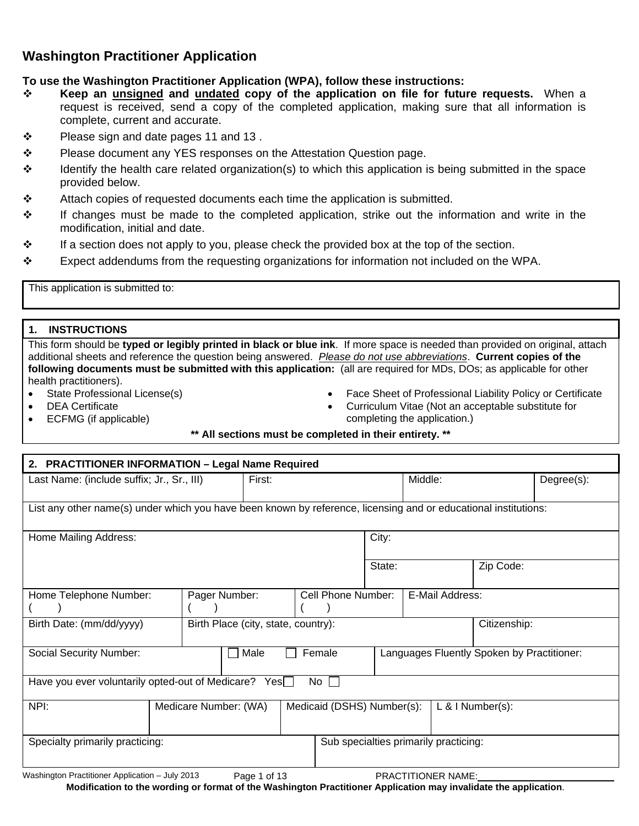## **Washington Practitioner Application**

### **To use the Washington Practitioner Application (WPA), follow these instructions:**

- **Keep an unsigned and undated copy of the application on file for future requests.** When a request is received, send a copy of the completed application, making sure that all information is complete, current and accurate.
- $\cdot \cdot$  Please sign and date pages 11 and 13.
- $\div$  Please document any YES responses on the Attestation Question page.
- $\div$  Identify the health care related organization(s) to which this application is being submitted in the space provided below.
- $\div$  Attach copies of requested documents each time the application is submitted.
- $\div$  If changes must be made to the completed application, strike out the information and write in the modification, initial and date.
- $\div$  If a section does not apply to you, please check the provided box at the top of the section.
- $\div$  Expect addendums from the requesting organizations for information not included on the WPA.

This application is submitted to:

#### **1. INSTRUCTIONS**

This form should be **typed or legibly printed in black or blue ink**. If more space is needed than provided on original, attach additional sheets and reference the question being answered. *Please do not use abbreviations*. **Current copies of the following documents must be submitted with this application:** (all are required for MDs, DOs; as applicable for other health practitioners).

- State Professional License(s)
- DEA Certificate
- ECFMG (if applicable)
- Face Sheet of Professional Liability Policy or Certificate
- Curriculum Vitae (Not an acceptable substitute for completing the application.)

#### **\*\* All sections must be completed in their entirety. \*\***

| 2. PRACTITIONER INFORMATION - Legal Name Required                                                               |                                     |                            |                                            |                                       |                    |            |
|-----------------------------------------------------------------------------------------------------------------|-------------------------------------|----------------------------|--------------------------------------------|---------------------------------------|--------------------|------------|
| Last Name: (include suffix; Jr., Sr., III)                                                                      | First:                              |                            |                                            | Middle:                               |                    | Degree(s): |
|                                                                                                                 |                                     |                            |                                            |                                       |                    |            |
| List any other name(s) under which you have been known by reference, licensing and or educational institutions: |                                     |                            |                                            |                                       |                    |            |
| Home Mailing Address:                                                                                           |                                     |                            | City:                                      |                                       |                    |            |
|                                                                                                                 |                                     |                            |                                            |                                       |                    |            |
|                                                                                                                 |                                     |                            | State:                                     |                                       | Zip Code:          |            |
|                                                                                                                 |                                     |                            |                                            |                                       |                    |            |
| Home Telephone Number:                                                                                          | Pager Number:                       | Cell Phone Number:         |                                            | E-Mail Address:                       |                    |            |
| Birth Date: (mm/dd/yyyy)                                                                                        | Birth Place (city, state, country): |                            |                                            | Citizenship:                          |                    |            |
|                                                                                                                 |                                     |                            |                                            |                                       |                    |            |
| <b>Social Security Number:</b>                                                                                  | Male<br>L                           | Female                     | Languages Fluently Spoken by Practitioner: |                                       |                    |            |
| Have you ever voluntarily opted-out of Medicare? Yes                                                            |                                     |                            |                                            |                                       |                    |            |
|                                                                                                                 |                                     | $No$                       |                                            |                                       |                    |            |
| NPI:                                                                                                            | Medicare Number: (WA)               | Medicaid (DSHS) Number(s): |                                            |                                       | $L$ & I Number(s): |            |
|                                                                                                                 |                                     |                            |                                            |                                       |                    |            |
| Specialty primarily practicing:                                                                                 |                                     |                            |                                            | Sub specialties primarily practicing: |                    |            |
|                                                                                                                 |                                     |                            |                                            |                                       |                    |            |
| Washington Practitioner Application - July 2013                                                                 | Page 1 of 13                        |                            | <b>PRACTITIONER NAME:</b>                  |                                       |                    |            |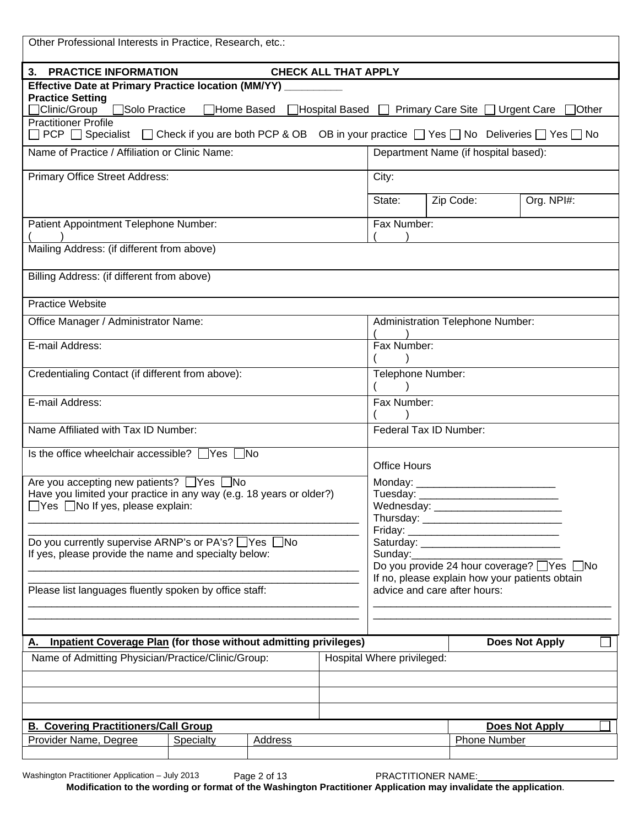| Other Professional Interests in Practice, Research, etc.:                                                                                                                                |                   |                |                             |                                                                                               |  |                                                    |                       |              |
|------------------------------------------------------------------------------------------------------------------------------------------------------------------------------------------|-------------------|----------------|-----------------------------|-----------------------------------------------------------------------------------------------|--|----------------------------------------------------|-----------------------|--------------|
| 3. PRACTICE INFORMATION                                                                                                                                                                  |                   |                | <b>CHECK ALL THAT APPLY</b> |                                                                                               |  |                                                    |                       |              |
| Effective Date at Primary Practice location (MM/YY)<br><b>Practice Setting</b><br>$\Box$ Clinic/Group<br>□Solo Practice                                                                  | $\Box$ Home Based |                |                             |                                                                                               |  | □ Hospital Based □ Primary Care Site □ Urgent Care |                       | $\Box$ Other |
| <b>Practitioner Profile</b><br>$\Box$ PCP $\Box$ Specialist $\Box$ Check if you are both PCP & OB $\Box$ OB in your practice $\Box$ Yes $\Box$ No $\Box$ Deliveries $\Box$ Yes $\Box$ No |                   |                |                             |                                                                                               |  |                                                    |                       |              |
| Name of Practice / Affiliation or Clinic Name:                                                                                                                                           |                   |                |                             |                                                                                               |  | Department Name (if hospital based):               |                       |              |
| Primary Office Street Address:                                                                                                                                                           |                   |                |                             | City:                                                                                         |  |                                                    |                       |              |
|                                                                                                                                                                                          |                   |                |                             | State:                                                                                        |  | Zip Code:                                          | Org. NPI#:            |              |
| Patient Appointment Telephone Number:                                                                                                                                                    |                   |                |                             | Fax Number:                                                                                   |  |                                                    |                       |              |
| Mailing Address: (if different from above)                                                                                                                                               |                   |                |                             |                                                                                               |  |                                                    |                       |              |
| Billing Address: (if different from above)                                                                                                                                               |                   |                |                             |                                                                                               |  |                                                    |                       |              |
| <b>Practice Website</b>                                                                                                                                                                  |                   |                |                             |                                                                                               |  |                                                    |                       |              |
| Office Manager / Administrator Name:                                                                                                                                                     |                   |                |                             |                                                                                               |  | <b>Administration Telephone Number:</b>            |                       |              |
| E-mail Address:                                                                                                                                                                          |                   |                |                             | Fax Number:                                                                                   |  |                                                    |                       |              |
| Credentialing Contact (if different from above):                                                                                                                                         |                   |                |                             | Telephone Number:                                                                             |  |                                                    |                       |              |
| E-mail Address:                                                                                                                                                                          |                   |                |                             | Fax Number:                                                                                   |  |                                                    |                       |              |
| Name Affiliated with Tax ID Number:                                                                                                                                                      |                   |                |                             | Federal Tax ID Number:                                                                        |  |                                                    |                       |              |
| Is the office wheelchair accessible? $\Box$ Yes $\Box$ No                                                                                                                                |                   |                |                             | <b>Office Hours</b>                                                                           |  |                                                    |                       |              |
| Are you accepting new patients? ■ Yes ■ No                                                                                                                                               |                   |                |                             | Monday:                                                                                       |  |                                                    |                       |              |
| Have you limited your practice in any way (e.g. 18 years or older?)<br>$\Box$ Yes $\Box$ No If yes, please explain:                                                                      |                   |                |                             | Tuesday:                                                                                      |  |                                                    |                       |              |
|                                                                                                                                                                                          |                   |                |                             |                                                                                               |  |                                                    |                       |              |
| Do you currently supervise ARNP's or PA's? ■ Yes ■ No<br>If yes, please provide the name and specialty below:                                                                            |                   |                |                             | Sunday:                                                                                       |  |                                                    |                       |              |
|                                                                                                                                                                                          |                   |                |                             | Do you provide 24 hour coverage? □ Yes □ No<br>If no, please explain how your patients obtain |  |                                                    |                       |              |
| Please list languages fluently spoken by office staff:                                                                                                                                   |                   |                |                             |                                                                                               |  | advice and care after hours:                       |                       |              |
|                                                                                                                                                                                          |                   |                |                             |                                                                                               |  |                                                    |                       |              |
| <b>Inpatient Coverage Plan (for those without admitting privileges)</b><br>Α.                                                                                                            |                   |                |                             |                                                                                               |  |                                                    | <b>Does Not Apply</b> |              |
| Name of Admitting Physician/Practice/Clinic/Group:                                                                                                                                       |                   |                |                             | Hospital Where privileged:                                                                    |  |                                                    |                       |              |
|                                                                                                                                                                                          |                   |                |                             |                                                                                               |  |                                                    |                       |              |
|                                                                                                                                                                                          |                   |                |                             |                                                                                               |  |                                                    |                       |              |
| <b>B. Covering Practitioners/Call Group</b><br>Provider Name, Degree                                                                                                                     | Specialty         | <b>Address</b> |                             |                                                                                               |  | <b>Phone Number</b>                                | <b>Does Not Apply</b> |              |
|                                                                                                                                                                                          |                   |                |                             |                                                                                               |  |                                                    |                       |              |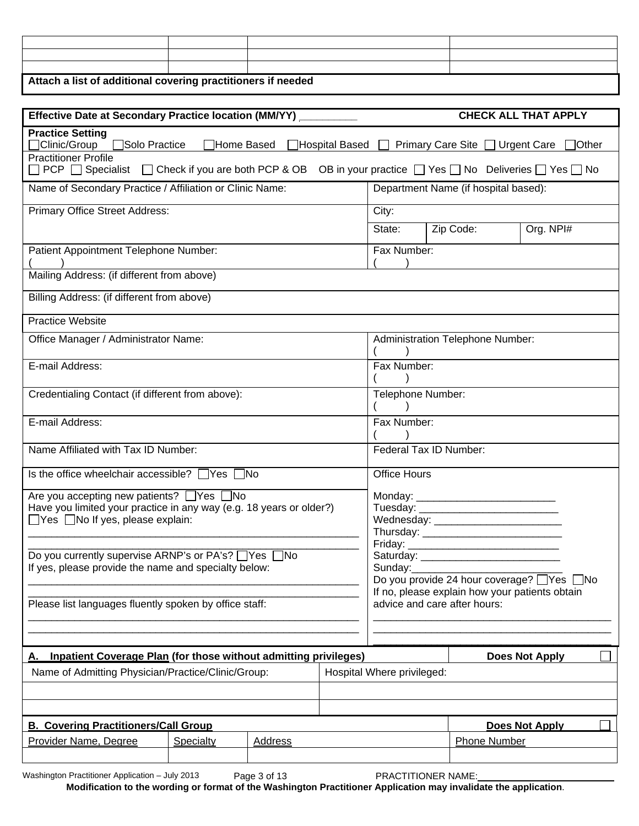| Attach a list of additional covering practitioners if needed |  |  |  |  |  |  |
|--------------------------------------------------------------|--|--|--|--|--|--|

| Effective Date at Secondary Practice location (MM/YY) __                                                                                                        |           |         |  | <b>CHECK ALL THAT APPLY</b> |                                                                                           |                       |  |
|-----------------------------------------------------------------------------------------------------------------------------------------------------------------|-----------|---------|--|-----------------------------|-------------------------------------------------------------------------------------------|-----------------------|--|
| <b>Practice Setting</b><br>$\Box$ Clinic/Group<br>Solo Practice<br>□Home Based<br>□Hospital Based<br>Primary Care Site □ Urgent Care<br>$\Box$ Other            |           |         |  |                             |                                                                                           |                       |  |
| <b>Practitioner Profile</b><br>□ PCP □ Specialist □ Check if you are both PCP & OB OB in your practice □ Yes □ No Deliveries □ Yes □ No                         |           |         |  |                             |                                                                                           |                       |  |
| Name of Secondary Practice / Affiliation or Clinic Name:                                                                                                        |           |         |  |                             | Department Name (if hospital based):                                                      |                       |  |
| <b>Primary Office Street Address:</b>                                                                                                                           |           |         |  | City:                       |                                                                                           |                       |  |
|                                                                                                                                                                 |           |         |  | State:                      | Zip Code:                                                                                 | Org. NPI#             |  |
| Patient Appointment Telephone Number:                                                                                                                           |           |         |  | Fax Number:                 |                                                                                           |                       |  |
| Mailing Address: (if different from above)                                                                                                                      |           |         |  |                             |                                                                                           |                       |  |
| Billing Address: (if different from above)                                                                                                                      |           |         |  |                             |                                                                                           |                       |  |
| <b>Practice Website</b>                                                                                                                                         |           |         |  |                             |                                                                                           |                       |  |
| Office Manager / Administrator Name:                                                                                                                            |           |         |  |                             | Administration Telephone Number:                                                          |                       |  |
| E-mail Address:                                                                                                                                                 |           |         |  | Fax Number:                 |                                                                                           |                       |  |
| Credentialing Contact (if different from above):                                                                                                                |           |         |  | Telephone Number:           |                                                                                           |                       |  |
| E-mail Address:                                                                                                                                                 |           |         |  | Fax Number:                 |                                                                                           |                       |  |
| Name Affiliated with Tax ID Number:                                                                                                                             |           |         |  |                             | Federal Tax ID Number:                                                                    |                       |  |
| Is the office wheelchair accessible? $\Box$ Yes $\Box$ No                                                                                                       |           |         |  | <b>Office Hours</b>         |                                                                                           |                       |  |
| Are you accepting new patients? □Yes □No<br>Have you limited your practice in any way (e.g. 18 years or older?)<br>$\Box$ Yes $\Box$ No If yes, please explain: |           |         |  |                             | Wednesday: __________________________                                                     |                       |  |
| Do you currently supervise ARNP's or PA's? ■ Yes ■ No<br>If yes, please provide the name and specialty below:                                                   |           |         |  | Sunday:                     | Do you provide 24 hour coverage? Ves No<br>If no, please explain how your patients obtain |                       |  |
| Please list languages fluently spoken by office staff:                                                                                                          |           |         |  |                             | advice and care after hours:                                                              |                       |  |
| <b>Inpatient Coverage Plan (for those without admitting privileges)</b><br>Α.                                                                                   |           |         |  |                             |                                                                                           | <b>Does Not Apply</b> |  |
| Name of Admitting Physician/Practice/Clinic/Group:                                                                                                              |           |         |  | Hospital Where privileged:  |                                                                                           |                       |  |
|                                                                                                                                                                 |           |         |  |                             |                                                                                           |                       |  |
|                                                                                                                                                                 |           |         |  |                             |                                                                                           |                       |  |
| <b>B. Covering Practitioners/Call Group</b><br>Provider Name, Degree                                                                                            | Specialty | Address |  |                             | <b>Phone Number</b>                                                                       | <b>Does Not Apply</b> |  |
|                                                                                                                                                                 |           |         |  |                             |                                                                                           |                       |  |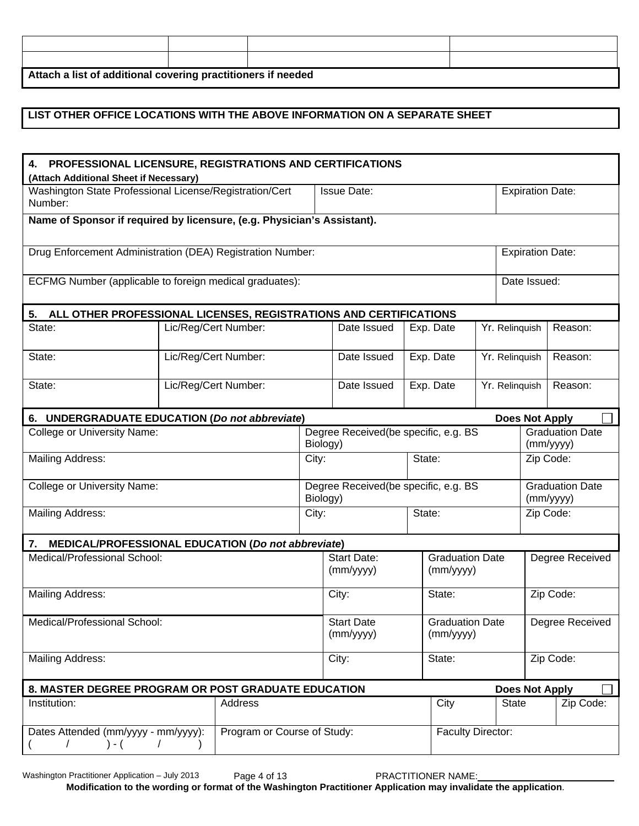| Attach a list of additional covering practitioners if needed |  |  |  |  |  |  |
|--------------------------------------------------------------|--|--|--|--|--|--|

#### **LIST OTHER OFFICE LOCATIONS WITH THE ABOVE INFORMATION ON A SEPARATE SHEET**

| 4. PROFESSIONAL LICENSURE, REGISTRATIONS AND CERTIFICATIONS<br>(Attach Additional Sheet if Necessary)               |                                                                                  |             |       |                                                                        |  |                                     |                 |                                     |                 |           |  |
|---------------------------------------------------------------------------------------------------------------------|----------------------------------------------------------------------------------|-------------|-------|------------------------------------------------------------------------|--|-------------------------------------|-----------------|-------------------------------------|-----------------|-----------|--|
| Washington State Professional License/Registration/Cert<br><b>Issue Date:</b><br><b>Expiration Date:</b><br>Number: |                                                                                  |             |       |                                                                        |  |                                     |                 |                                     |                 |           |  |
| Name of Sponsor if required by licensure, (e.g. Physician's Assistant).                                             |                                                                                  |             |       |                                                                        |  |                                     |                 |                                     |                 |           |  |
| Drug Enforcement Administration (DEA) Registration Number:<br><b>Expiration Date:</b>                               |                                                                                  |             |       |                                                                        |  |                                     |                 |                                     |                 |           |  |
| ECFMG Number (applicable to foreign medical graduates):                                                             |                                                                                  |             |       |                                                                        |  |                                     |                 | Date Issued:                        |                 |           |  |
| 5.<br>ALL OTHER PROFESSIONAL LICENSES, REGISTRATIONS AND CERTIFICATIONS                                             |                                                                                  |             |       |                                                                        |  |                                     |                 |                                     |                 |           |  |
| State:                                                                                                              | Lic/Reg/Cert Number:                                                             |             |       | Date Issued                                                            |  | Exp. Date                           |                 | Yr. Relinquish                      |                 | Reason:   |  |
| State:                                                                                                              | Lic/Reg/Cert Number:                                                             |             |       | Date Issued                                                            |  | Exp. Date                           |                 | Yr. Relinquish                      |                 | Reason:   |  |
| State:                                                                                                              | Lic/Reg/Cert Number:                                                             | Date Issued |       |                                                                        |  | Exp. Date                           | Yr. Relinquish  |                                     |                 | Reason:   |  |
| 6. UNDERGRADUATE EDUCATION (Do not abbreviate)                                                                      |                                                                                  |             |       |                                                                        |  |                                     |                 | <b>Does Not Apply</b>               |                 |           |  |
| <b>College or University Name:</b>                                                                                  |                                                                                  |             |       | Degree Received (be specific, e.g. BS<br>Biology)                      |  |                                     |                 | <b>Graduation Date</b><br>(mm/yyyy) |                 |           |  |
| <b>Mailing Address:</b>                                                                                             |                                                                                  |             | City: | State:                                                                 |  |                                     |                 | Zip Code:                           |                 |           |  |
| <b>College or University Name:</b>                                                                                  |                                                                                  |             |       | Degree Received (be specific, e.g. BS<br>Biology)                      |  |                                     |                 | <b>Graduation Date</b><br>(mm/yyyy) |                 |           |  |
| <b>Mailing Address:</b>                                                                                             |                                                                                  |             | City: | State:                                                                 |  |                                     | Zip Code:       |                                     |                 |           |  |
| MEDICAL/PROFESSIONAL EDUCATION (Do not abbreviate)<br>7.                                                            |                                                                                  |             |       |                                                                        |  |                                     |                 |                                     |                 |           |  |
| Medical/Professional School:                                                                                        |                                                                                  |             |       | <b>Start Date:</b><br><b>Graduation Date</b><br>(mm/yyyy)<br>(mm/yyyy) |  |                                     | Degree Received |                                     |                 |           |  |
| <b>Mailing Address:</b>                                                                                             |                                                                                  |             |       | City:<br>State:                                                        |  |                                     | Zip Code:       |                                     |                 |           |  |
| Medical/Professional School:                                                                                        |                                                                                  |             |       | <b>Start Date</b><br>(mm/yyyy)                                         |  | <b>Graduation Date</b><br>(mm/yyyy) |                 |                                     | Degree Received |           |  |
| <b>Mailing Address:</b>                                                                                             |                                                                                  |             |       | City:<br>State:                                                        |  |                                     |                 |                                     | Zip Code:       |           |  |
| 8. MASTER DEGREE PROGRAM OR POST GRADUATE EDUCATION                                                                 |                                                                                  |             |       |                                                                        |  |                                     |                 | <b>Does Not Apply</b>               |                 |           |  |
| Institution:                                                                                                        |                                                                                  | Address     |       |                                                                        |  | City                                |                 | <b>State</b>                        |                 | Zip Code: |  |
| $) - ($<br>$\sqrt{2}$                                                                                               | Program or Course of Study:<br>Dates Attended (mm/yyyy - mm/yyyy):<br>$\sqrt{2}$ |             |       |                                                                        |  | <b>Faculty Director:</b>            |                 |                                     |                 |           |  |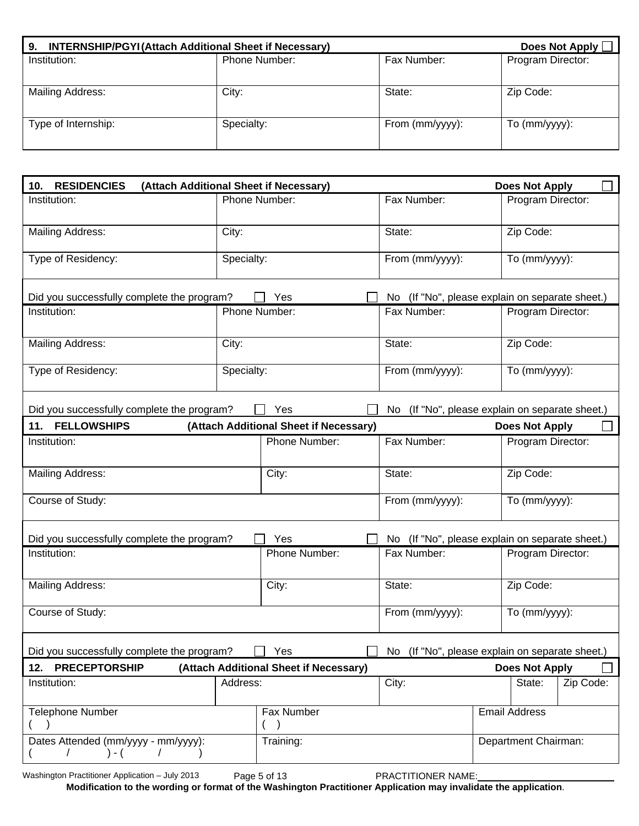| <b>INTERNSHIP/PGYI (Attach Additional Sheet if Necessary)</b><br>9. |               | Does Not Apply [   |                   |
|---------------------------------------------------------------------|---------------|--------------------|-------------------|
| Institution:                                                        | Phone Number: | Fax Number:        | Program Director: |
| Mailing Address:                                                    | City:         | State:             | Zip Code:         |
| Type of Internship:                                                 | Specialty:    | From $(mm/yyyy)$ : | To (mm/yyyy):     |

| 10. RESIDENCIES                                                                         | (Attach Additional Sheet if Necessary) |                                        |                                                     | <b>Does Not Apply</b>                           |  |  |  |
|-----------------------------------------------------------------------------------------|----------------------------------------|----------------------------------------|-----------------------------------------------------|-------------------------------------------------|--|--|--|
| Institution:                                                                            | Phone Number:                          |                                        | Fax Number:                                         | Program Director:                               |  |  |  |
| Mailing Address:                                                                        | City:                                  |                                        | State:                                              | Zip Code:                                       |  |  |  |
| Type of Residency:                                                                      | Specialty:                             |                                        | From (mm/yyyy):                                     | To (mm/yyyy):                                   |  |  |  |
| Did you successfully complete the program?                                              |                                        | <b>Yes</b>                             |                                                     | No (If "No", please explain on separate sheet.) |  |  |  |
| Institution:                                                                            | Phone Number:                          |                                        | Fax Number:                                         | Program Director:                               |  |  |  |
| <b>Mailing Address:</b>                                                                 | City:                                  |                                        | State:                                              | Zip Code:                                       |  |  |  |
| Type of Residency:                                                                      | Specialty:                             |                                        | From (mm/yyyy):                                     | To (mm/yyyy):                                   |  |  |  |
| Did you successfully complete the program?                                              |                                        | Yes                                    | (If "No", please explain on separate sheet.)<br>No. |                                                 |  |  |  |
| 11. FELLOWSHIPS                                                                         |                                        | (Attach Additional Sheet if Necessary) |                                                     | <b>Does Not Apply</b>                           |  |  |  |
| Institution:                                                                            |                                        | Phone Number:                          | Fax Number:                                         | Program Director:                               |  |  |  |
| Mailing Address:                                                                        |                                        | City:                                  | State:                                              | Zip Code:                                       |  |  |  |
| Course of Study:                                                                        |                                        |                                        | From (mm/yyyy):                                     | To (mm/yyyy):                                   |  |  |  |
| Did you successfully complete the program?                                              |                                        | Yes                                    | No.                                                 | (If "No", please explain on separate sheet.)    |  |  |  |
| Institution:                                                                            |                                        | Phone Number:                          | Fax Number:                                         | Program Director:                               |  |  |  |
| <b>Mailing Address:</b>                                                                 |                                        | City:                                  | State:                                              | Zip Code:                                       |  |  |  |
| Course of Study:                                                                        |                                        |                                        | From (mm/yyyy):                                     | To (mm/yyyy):                                   |  |  |  |
| Did you successfully complete the program?                                              |                                        | Yes                                    |                                                     | No (If "No", please explain on separate sheet.) |  |  |  |
| 12. PRECEPTORSHIP                                                                       |                                        | (Attach Additional Sheet if Necessary) |                                                     | <b>Does Not Apply</b>                           |  |  |  |
| Institution:                                                                            | Address:                               |                                        | City:                                               | State:<br>Zip Code:                             |  |  |  |
| <b>Telephone Number</b>                                                                 |                                        | Fax Number                             |                                                     | <b>Email Address</b>                            |  |  |  |
| $\overline{T}$ raining:<br>Dates Attended (mm/yyyy - mm/yyyy):<br>$) - ($<br>$\sqrt{2}$ |                                        |                                        |                                                     | Department Chairman:                            |  |  |  |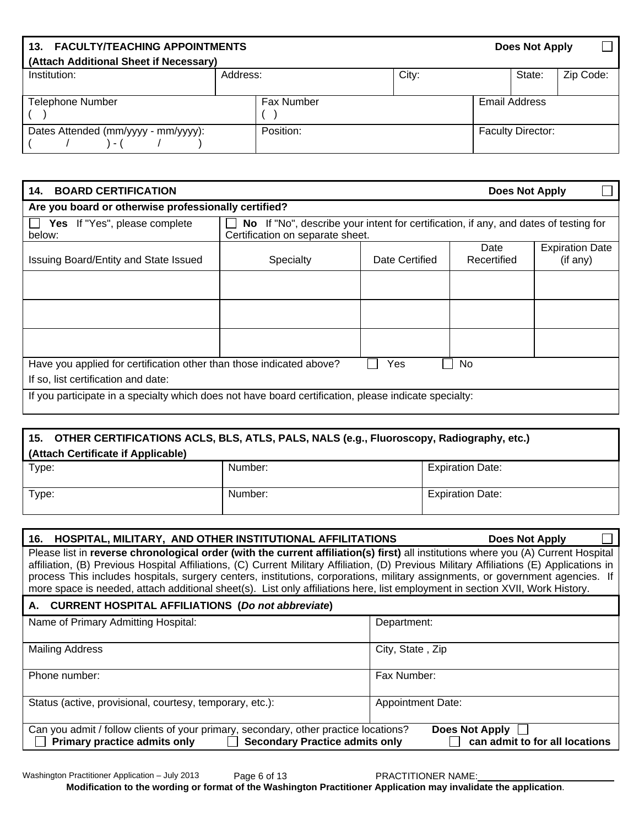| <b>FACULTY/TEACHING APPOINTMENTS</b><br>13. |                   | Does Not Apply |  |                          |           |
|---------------------------------------------|-------------------|----------------|--|--------------------------|-----------|
| (Attach Additional Sheet if Necessary)      |                   |                |  |                          |           |
| Institution:                                | Address:          | City:          |  | State:                   | Zip Code: |
|                                             |                   |                |  |                          |           |
| <b>Telephone Number</b>                     | <b>Fax Number</b> |                |  | Email Address            |           |
|                                             |                   |                |  |                          |           |
| Dates Attended (mm/yyyy - mm/yyyy):         | Position:         |                |  | <b>Faculty Director:</b> |           |
| $\sim$ 1                                    |                   |                |  |                          |           |

| <b>BOARD CERTIFICATION</b><br>14.                                                                     | <b>Does Not Apply</b> |                                                                                                                          |                     |                                    |  |  |  |  |
|-------------------------------------------------------------------------------------------------------|-----------------------|--------------------------------------------------------------------------------------------------------------------------|---------------------|------------------------------------|--|--|--|--|
| Are you board or otherwise professionally certified?                                                  |                       |                                                                                                                          |                     |                                    |  |  |  |  |
| Yes If "Yes", please complete<br>below:                                                               |                       | No If "No", describe your intent for certification, if any, and dates of testing for<br>Certification on separate sheet. |                     |                                    |  |  |  |  |
| Issuing Board/Entity and State Issued                                                                 | Specialty             | Date Certified                                                                                                           | Date<br>Recertified | <b>Expiration Date</b><br>(if any) |  |  |  |  |
|                                                                                                       |                       |                                                                                                                          |                     |                                    |  |  |  |  |
|                                                                                                       |                       |                                                                                                                          |                     |                                    |  |  |  |  |
|                                                                                                       |                       |                                                                                                                          |                     |                                    |  |  |  |  |
| Have you applied for certification other than those indicated above?<br>No.<br>Yes                    |                       |                                                                                                                          |                     |                                    |  |  |  |  |
| If so, list certification and date:                                                                   |                       |                                                                                                                          |                     |                                    |  |  |  |  |
| If you participate in a specialty which does not have board certification, please indicate specialty: |                       |                                                                                                                          |                     |                                    |  |  |  |  |

# **15. OTHER CERTIFICATIONS ACLS, BLS, ATLS, PALS, NALS (e.g., Fluoroscopy, Radiography, etc.) (Attach Certificate if Applicable)**  Type: Number: Number: Expiration Date: Type: Number: Number: Expiration Date:

| 16. HOSPITAL, MILITARY, AND OTHER INSTITUTIONAL AFFILITATIONS                                                                                                                                                                                                                                                                                                                                                                                                                                                                                      | <b>Does Not Apply</b>    |  |  |  |  |  |
|----------------------------------------------------------------------------------------------------------------------------------------------------------------------------------------------------------------------------------------------------------------------------------------------------------------------------------------------------------------------------------------------------------------------------------------------------------------------------------------------------------------------------------------------------|--------------------------|--|--|--|--|--|
| Please list in reverse chronological order (with the current affiliation(s) first) all institutions where you (A) Current Hospital<br>affiliation, (B) Previous Hospital Affiliations, (C) Current Military Affiliation, (D) Previous Military Affiliations (E) Applications in<br>process This includes hospitals, surgery centers, institutions, corporations, military assignments, or government agencies. If<br>more space is needed, attach additional sheet(s). List only affiliations here, list employment in section XVII, Work History. |                          |  |  |  |  |  |
| A. CURRENT HOSPITAL AFFILIATIONS (Do not abbreviate)                                                                                                                                                                                                                                                                                                                                                                                                                                                                                               |                          |  |  |  |  |  |
| Name of Primary Admitting Hospital:                                                                                                                                                                                                                                                                                                                                                                                                                                                                                                                | Department:              |  |  |  |  |  |
| <b>Mailing Address</b>                                                                                                                                                                                                                                                                                                                                                                                                                                                                                                                             | City, State, Zip         |  |  |  |  |  |
| Phone number:                                                                                                                                                                                                                                                                                                                                                                                                                                                                                                                                      | Fax Number:              |  |  |  |  |  |
| Status (active, provisional, courtesy, temporary, etc.):                                                                                                                                                                                                                                                                                                                                                                                                                                                                                           | <b>Appointment Date:</b> |  |  |  |  |  |
| Can you admit / follow clients of your primary, secondary, other practice locations?<br><b>Does Not Apply</b><br>Primary practice admits only $\Box$<br><b>Secondary Practice admits only</b><br>can admit to for all locations                                                                                                                                                                                                                                                                                                                    |                          |  |  |  |  |  |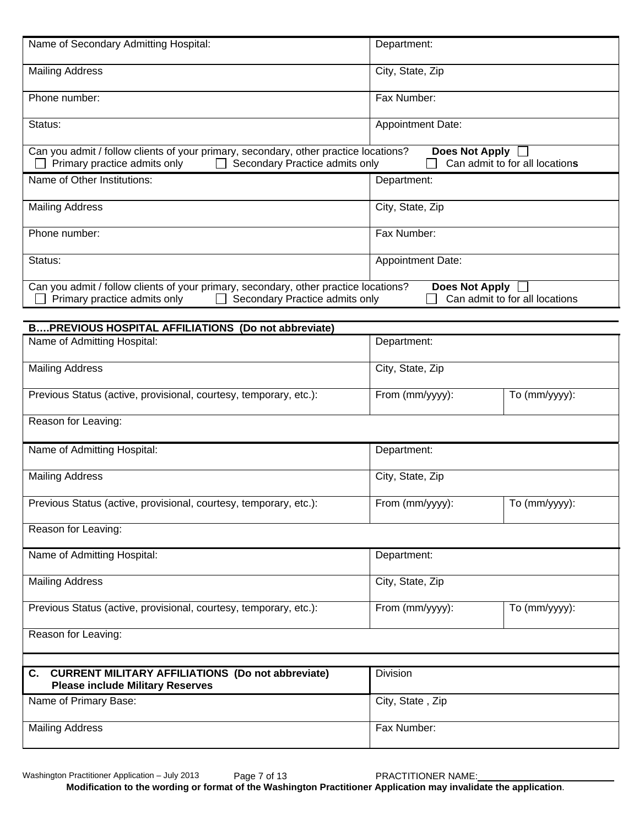| Name of Secondary Admitting Hospital:                                                                                                                                  | Department:              |                                |
|------------------------------------------------------------------------------------------------------------------------------------------------------------------------|--------------------------|--------------------------------|
| <b>Mailing Address</b>                                                                                                                                                 | City, State, Zip         |                                |
| Phone number:                                                                                                                                                          | Fax Number:              |                                |
| Status:                                                                                                                                                                | <b>Appointment Date:</b> |                                |
| Can you admit / follow clients of your primary, secondary, other practice locations?<br>Secondary Practice admits only<br>Primary practice admits only<br>$\mathbf{L}$ | <b>Does Not Apply</b>    | Can admit to for all locations |
| Name of Other Institutions:                                                                                                                                            | Department:              |                                |
| <b>Mailing Address</b>                                                                                                                                                 | City, State, Zip         |                                |
| Phone number:                                                                                                                                                          | Fax Number:              |                                |
| Status:                                                                                                                                                                | Appointment Date:        |                                |
| Can you admit / follow clients of your primary, secondary, other practice locations?<br>Primary practice admits only<br>Secondary Practice admits only                 | Does Not Apply           | Can admit to for all locations |
| BPREVIOUS HOSPITAL AFFILIATIONS (Do not abbreviate)                                                                                                                    |                          |                                |
| Name of Admitting Hospital:                                                                                                                                            | Department:              |                                |
| <b>Mailing Address</b>                                                                                                                                                 | City, State, Zip         |                                |
| Previous Status (active, provisional, courtesy, temporary, etc.):                                                                                                      | From (mm/yyyy):          | To (mm/yyyy):                  |
| Reason for Leaving:                                                                                                                                                    |                          |                                |
| Name of Admitting Hospital:                                                                                                                                            | Department:              |                                |
| <b>Mailing Address</b>                                                                                                                                                 | City, State, Zip         |                                |
| Previous Status (active, provisional, courtesy, temporary, etc.):                                                                                                      | From (mm/yyyy):          | $\overline{To}$ (mm/yyyy):     |
| Reason for Leaving:                                                                                                                                                    |                          |                                |
| Name of Admitting Hospital:                                                                                                                                            | Department:              |                                |
| <b>Mailing Address</b>                                                                                                                                                 | City, State, Zip         |                                |
| Previous Status (active, provisional, courtesy, temporary, etc.):                                                                                                      | From (mm/yyyy):          | To (mm/yyyy):                  |
| Reason for Leaving:                                                                                                                                                    |                          |                                |
|                                                                                                                                                                        |                          |                                |
| <b>CURRENT MILITARY AFFILIATIONS (Do not abbreviate)</b><br>C.<br><b>Please include Military Reserves</b>                                                              | Division                 |                                |
| Name of Primary Base:                                                                                                                                                  | City, State, Zip         |                                |
| <b>Mailing Address</b>                                                                                                                                                 | Fax Number:              |                                |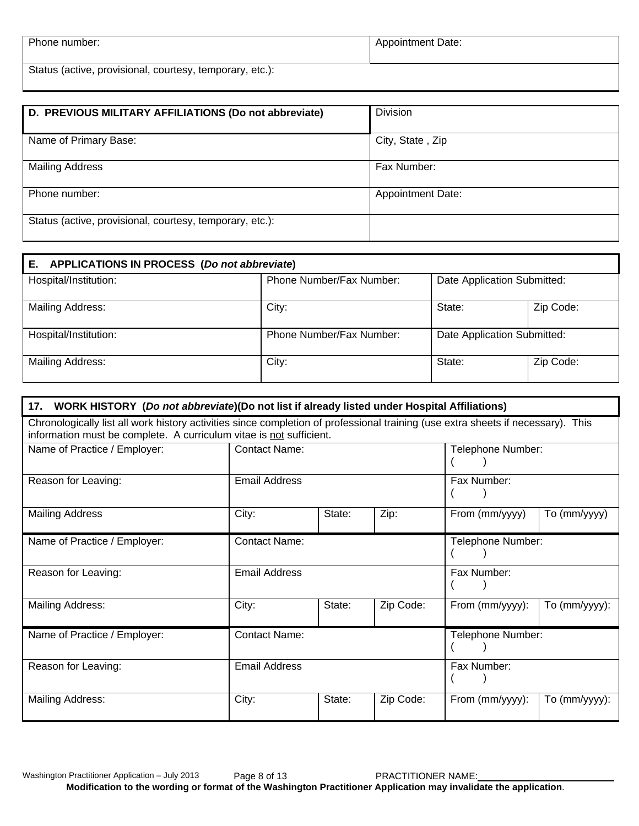| Phone number:                                            | Appointment Date: |
|----------------------------------------------------------|-------------------|
| Status (active, provisional, courtesy, temporary, etc.): |                   |

| D. PREVIOUS MILITARY AFFILIATIONS (Do not abbreviate)    | <b>Division</b>          |
|----------------------------------------------------------|--------------------------|
| Name of Primary Base:                                    | City, State, Zip         |
| <b>Mailing Address</b>                                   | Fax Number:              |
| Phone number:                                            | <b>Appointment Date:</b> |
| Status (active, provisional, courtesy, temporary, etc.): |                          |

| APPLICATIONS IN PROCESS (Do not abbreviate)<br>Е. |                          |                             |           |
|---------------------------------------------------|--------------------------|-----------------------------|-----------|
| Hospital/Institution:                             | Phone Number/Fax Number: | Date Application Submitted: |           |
| Mailing Address:                                  | City:                    | State:                      | Zip Code: |
| Hospital/Institution:                             | Phone Number/Fax Number: | Date Application Submitted: |           |
| Mailing Address:                                  | City:                    | State:                      | Zip Code: |

| 17. WORK HISTORY (Do not abbreviate)(Do not list if already listed under Hospital Affiliations)                                                                                                         |                      |        |           |                    |               |
|---------------------------------------------------------------------------------------------------------------------------------------------------------------------------------------------------------|----------------------|--------|-----------|--------------------|---------------|
| Chronologically list all work history activities since completion of professional training (use extra sheets if necessary). This<br>information must be complete. A curriculum vitae is not sufficient. |                      |        |           |                    |               |
| Name of Practice / Employer:                                                                                                                                                                            | <b>Contact Name:</b> |        |           | Telephone Number:  |               |
| Reason for Leaving:                                                                                                                                                                                     | <b>Email Address</b> |        |           | Fax Number:        |               |
| <b>Mailing Address</b>                                                                                                                                                                                  | City:                | State: | Zip:      | From (mm/yyyy)     | To (mm/yyyy)  |
| Name of Practice / Employer:                                                                                                                                                                            | Contact Name:        |        |           | Telephone Number:  |               |
| Reason for Leaving:                                                                                                                                                                                     | <b>Email Address</b> |        |           | Fax Number:        |               |
| Mailing Address:                                                                                                                                                                                        | City:                | State: | Zip Code: | From (mm/yyyy):    | To (mm/yyyy): |
| Name of Practice / Employer:                                                                                                                                                                            | <b>Contact Name:</b> |        |           | Telephone Number:  |               |
| Reason for Leaving:                                                                                                                                                                                     | <b>Email Address</b> |        |           | Fax Number:        |               |
| Mailing Address:                                                                                                                                                                                        | City:                | State: | Zip Code: | From $(mm/yyyy)$ : | To (mm/yyyy): |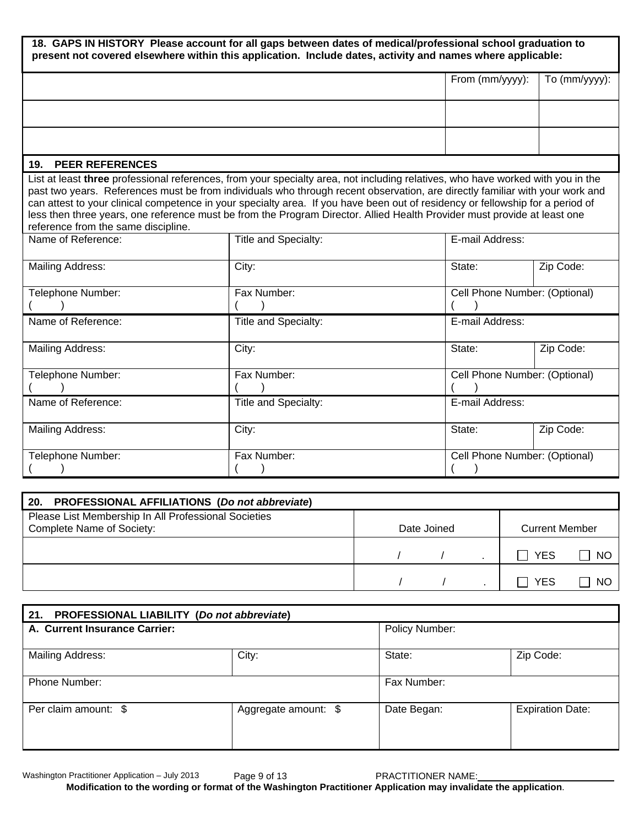**18. GAPS IN HISTORY Please account for all gaps between dates of medical/professional school graduation to present not covered elsewhere within this application. Include dates, activity and names where applicable:**

|                                     |                      | From (mm/yyyy):<br>To (mm/yyyy):                                                                                                                                                                                                                                                                                                                                                                                                                                                                                              |  |
|-------------------------------------|----------------------|-------------------------------------------------------------------------------------------------------------------------------------------------------------------------------------------------------------------------------------------------------------------------------------------------------------------------------------------------------------------------------------------------------------------------------------------------------------------------------------------------------------------------------|--|
|                                     |                      |                                                                                                                                                                                                                                                                                                                                                                                                                                                                                                                               |  |
|                                     |                      |                                                                                                                                                                                                                                                                                                                                                                                                                                                                                                                               |  |
| 19. PEER REFERENCES                 |                      |                                                                                                                                                                                                                                                                                                                                                                                                                                                                                                                               |  |
| reference from the same discipline. |                      | List at least three professional references, from your specialty area, not including relatives, who have worked with you in the<br>past two years. References must be from individuals who through recent observation, are directly familiar with your work and<br>can attest to your clinical competence in your specialty area. If you have been out of residency or fellowship for a period of<br>less then three years, one reference must be from the Program Director. Allied Health Provider must provide at least one |  |
| Name of Reference:                  | Title and Specialty: | E-mail Address:                                                                                                                                                                                                                                                                                                                                                                                                                                                                                                               |  |
| Mailing Address:                    | City:                | Zip Code:<br>State:                                                                                                                                                                                                                                                                                                                                                                                                                                                                                                           |  |
| Telephone Number:                   | Fax Number:          | Cell Phone Number: (Optional)                                                                                                                                                                                                                                                                                                                                                                                                                                                                                                 |  |
| Name of Reference:                  | Title and Specialty: | E-mail Address:                                                                                                                                                                                                                                                                                                                                                                                                                                                                                                               |  |
| Mailing Address:                    | City:                | Zip Code:<br>State:                                                                                                                                                                                                                                                                                                                                                                                                                                                                                                           |  |
| Telephone Number:                   | Fax Number:          | Cell Phone Number: (Optional)                                                                                                                                                                                                                                                                                                                                                                                                                                                                                                 |  |
| Name of Reference:                  | Title and Specialty: | E-mail Address:                                                                                                                                                                                                                                                                                                                                                                                                                                                                                                               |  |
| Mailing Address:                    | City:                | State:<br>Zip Code:                                                                                                                                                                                                                                                                                                                                                                                                                                                                                                           |  |
| Telephone Number:                   | Fax Number:          | Cell Phone Number: (Optional)                                                                                                                                                                                                                                                                                                                                                                                                                                                                                                 |  |

| 20.<br><b>PROFESSIONAL AFFILIATIONS (Do not abbreviate)</b>                       |             |                       |     |
|-----------------------------------------------------------------------------------|-------------|-----------------------|-----|
| Please List Membership In All Professional Societies<br>Complete Name of Society: | Date Joined | <b>Current Member</b> |     |
|                                                                                   |             | <b>YES</b>            | -NC |
|                                                                                   |             | YFS                   | N0  |

| PROFESSIONAL LIABILITY (Do not abbreviate)<br>21. |                      |                |                         |
|---------------------------------------------------|----------------------|----------------|-------------------------|
| A. Current Insurance Carrier:                     |                      | Policy Number: |                         |
| Mailing Address:                                  | City:                | State:         | Zip Code:               |
| Phone Number:                                     |                      | Fax Number:    |                         |
| Per claim amount: \$                              | Aggregate amount: \$ | Date Began:    | <b>Expiration Date:</b> |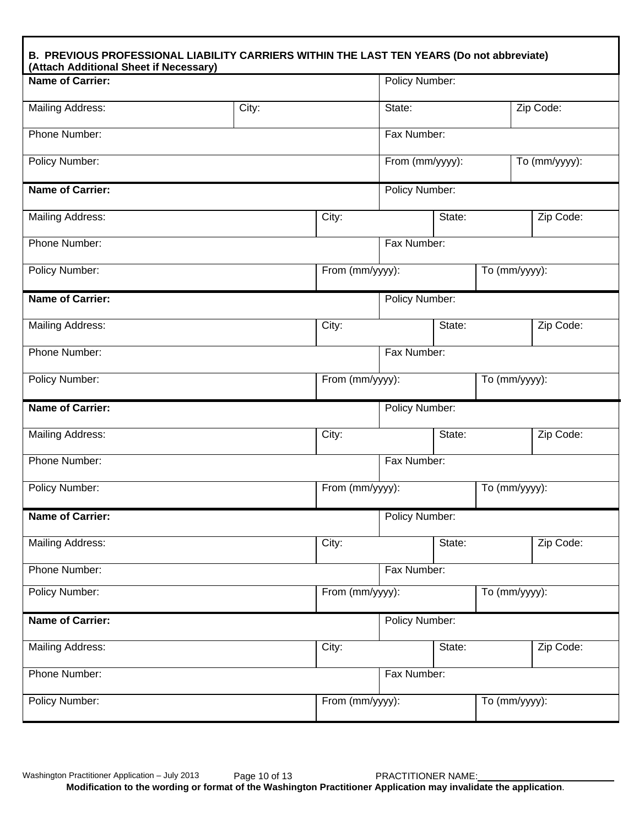| <b>Name of Carrier:</b> |       |                 | Policy Number: |                 |               |               |
|-------------------------|-------|-----------------|----------------|-----------------|---------------|---------------|
| <b>Mailing Address:</b> | City: |                 | State:         |                 |               | Zip Code:     |
| Phone Number:           |       |                 | Fax Number:    |                 |               |               |
| Policy Number:          |       |                 |                | From (mm/yyyy): |               | To (mm/yyyy): |
| <b>Name of Carrier:</b> |       |                 | Policy Number: |                 |               |               |
| <b>Mailing Address:</b> |       | City:           |                | State:          |               | Zip Code:     |
| Phone Number:           |       |                 | Fax Number:    |                 |               |               |
| Policy Number:          |       | From (mm/yyyy): |                |                 | To (mm/yyyy): |               |
| <b>Name of Carrier:</b> |       |                 | Policy Number: |                 |               |               |
| Mailing Address:        |       | City:           |                | State:          |               | Zip Code:     |
| Phone Number:           |       |                 | Fax Number:    |                 |               |               |
| <b>Policy Number:</b>   |       | From (mm/yyyy): |                |                 | To (mm/yyyy): |               |
| <b>Name of Carrier:</b> |       |                 | Policy Number: |                 |               |               |
| <b>Mailing Address:</b> |       | City:           |                | State:          |               | Zip Code:     |
| Phone Number:           |       |                 | Fax Number:    |                 |               |               |
| Policy Number:          |       | From (mm/yyyy): |                |                 | To (mm/yyyy): |               |
| <b>Name of Carrier:</b> |       |                 | Policy Number: |                 |               |               |
| <b>Mailing Address:</b> |       | City:           |                | State:          |               | Zip Code:     |
| Phone Number:           |       |                 | Fax Number:    |                 |               |               |
| Policy Number:          |       | From (mm/yyyy): |                |                 | To (mm/yyyy): |               |
| <b>Name of Carrier:</b> |       |                 | Policy Number: |                 |               |               |
| <b>Mailing Address:</b> |       | City:           |                | State:          |               | Zip Code:     |
| Phone Number:           |       |                 | Fax Number:    |                 |               |               |
| <b>Policy Number:</b>   |       | From (mm/yyyy): |                |                 | To (mm/yyyy): |               |

٦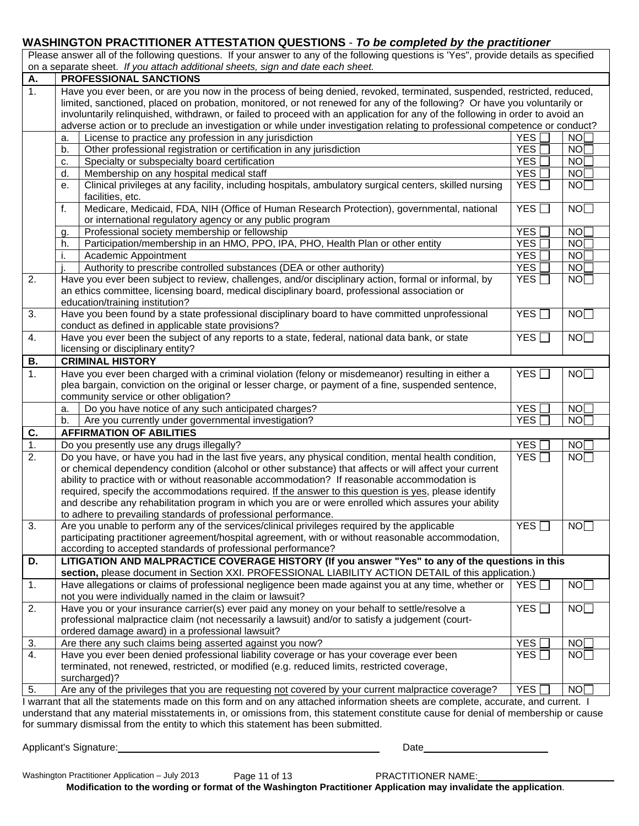#### **WASHINGTON PRACTITIONER ATTESTATION QUESTIONS** - *To be completed by the practitioner*

|                                                                                 | Please answer all of the following questions. If your answer to any of the following questions is 'Yes", provide details as specified |
|---------------------------------------------------------------------------------|---------------------------------------------------------------------------------------------------------------------------------------|
| on a separate sheet. If you attach additional sheets, sign and date each sheet. |                                                                                                                                       |

| А.               | PROFESSIONAL SANCTIONS                                                                                                              |                                                 |                 |
|------------------|-------------------------------------------------------------------------------------------------------------------------------------|-------------------------------------------------|-----------------|
| $\overline{1}$ . | Have you ever been, or are you now in the process of being denied, revoked, terminated, suspended, restricted, reduced,             |                                                 |                 |
|                  | limited, sanctioned, placed on probation, monitored, or not renewed for any of the following? Or have you voluntarily or            |                                                 |                 |
|                  | involuntarily relinquished, withdrawn, or failed to proceed with an application for any of the following in order to avoid an       |                                                 |                 |
|                  | adverse action or to preclude an investigation or while under investigation relating to professional competence or conduct?         |                                                 |                 |
|                  | License to practice any profession in any jurisdiction<br>a.                                                                        | <b>YES</b>                                      | NO <sub>[</sub> |
|                  | Other professional registration or certification in any jurisdiction<br>b.                                                          | <b>YES</b>                                      | NO <sub>[</sub> |
|                  | Specialty or subspecialty board certification<br>c.                                                                                 | <b>YES</b>                                      | NO              |
|                  | Membership on any hospital medical staff<br>d.                                                                                      | <b>YES</b>                                      | NO              |
|                  | Clinical privileges at any facility, including hospitals, ambulatory surgical centers, skilled nursing<br>е.                        | YES <sup>[</sup>                                | NO              |
|                  | facilities, etc.                                                                                                                    |                                                 |                 |
|                  | Medicare, Medicaid, FDA, NIH (Office of Human Research Protection), governmental, national<br>f.                                    | YES                                             | NO              |
|                  | or international regulatory agency or any public program                                                                            |                                                 |                 |
|                  | Professional society membership or fellowship<br>g.                                                                                 | <b>YES</b>                                      | NO              |
|                  | Participation/membership in an HMO, PPO, IPA, PHO, Health Plan or other entity<br>h.                                                | <b>YES</b>                                      | <b>NO</b>       |
|                  | Academic Appointment                                                                                                                | <b>YES</b>                                      | NO              |
|                  | Authority to prescribe controlled substances (DEA or other authority)                                                               | <b>YES</b>                                      | NO              |
| 2.               | Have you ever been subject to review, challenges, and/or disciplinary action, formal or informal, by                                | YES                                             | NO              |
|                  | an ethics committee, licensing board, medical disciplinary board, professional association or                                       |                                                 |                 |
|                  | education/training institution?                                                                                                     |                                                 |                 |
| 3.               | Have you been found by a state professional disciplinary board to have committed unprofessional                                     | YES <sup>[</sup><br>$\mathcal{L}_{\mathcal{A}}$ | NO              |
|                  | conduct as defined in applicable state provisions?                                                                                  |                                                 |                 |
| 4.               | Have you ever been the subject of any reports to a state, federal, national data bank, or state                                     | YES <sup>[</sup><br>$\blacksquare$              | NO              |
|                  | licensing or disciplinary entity?                                                                                                   |                                                 |                 |
| В.               | <b>CRIMINAL HISTORY</b>                                                                                                             |                                                 |                 |
| 1.               | Have you ever been charged with a criminal violation (felony or misdemeanor) resulting in either a                                  | YES $\Box$                                      | NO              |
|                  | plea bargain, conviction on the original or lesser charge, or payment of a fine, suspended sentence,                                |                                                 |                 |
|                  | community service or other obligation?                                                                                              |                                                 |                 |
|                  | Do you have notice of any such anticipated charges?<br>a.                                                                           | <b>YES</b>                                      | NO <sub>[</sub> |
|                  | Are you currently under governmental investigation?<br>b.                                                                           | <b>YES</b>                                      | NO <sub>L</sub> |
| C.               | <b>AFFIRMATION OF ABILITIES</b>                                                                                                     |                                                 |                 |
| 1.               | Do you presently use any drugs illegally?                                                                                           | <b>YES</b>                                      | NO              |
| 2.               | Do you have, or have you had in the last five years, any physical condition, mental health condition,                               | YES                                             | NO              |
|                  | or chemical dependency condition (alcohol or other substance) that affects or will affect your current                              |                                                 |                 |
|                  | ability to practice with or without reasonable accommodation? If reasonable accommodation is                                        |                                                 |                 |
|                  | required, specify the accommodations required. If the answer to this question is yes, please identify                               |                                                 |                 |
|                  | and describe any rehabilitation program in which you are or were enrolled which assures your ability                                |                                                 |                 |
|                  | to adhere to prevailing standards of professional performance.                                                                      |                                                 |                 |
| 3.               | Are you unable to perform any of the services/clinical privileges required by the applicable                                        | YES                                             | NO              |
|                  | participating practitioner agreement/hospital agreement, with or without reasonable accommodation,                                  |                                                 |                 |
|                  | according to accepted standards of professional performance?                                                                        |                                                 |                 |
| D.               | LITIGATION AND MALPRACTICE COVERAGE HISTORY (If you answer "Yes" to any of the questions in this                                    |                                                 |                 |
|                  | section, please document in Section XXI. PROFESSIONAL LIABILITY ACTION DETAIL of this application.)                                 |                                                 |                 |
| 1.               | Have allegations or claims of professional negligence been made against you at any time, whether or                                 | $YES$ $\Box$                                    | NO              |
|                  | not you were individually named in the claim or lawsuit?                                                                            |                                                 |                 |
| 2.               | Have you or your insurance carrier(s) ever paid any money on your behalf to settle/resolve a                                        | YES                                             | NO              |
|                  | professional malpractice claim (not necessarily a lawsuit) and/or to satisfy a judgement (court-                                    |                                                 |                 |
|                  | ordered damage award) in a professional lawsuit?                                                                                    |                                                 |                 |
| $\overline{3}$ . | Are there any such claims being asserted against you now?                                                                           | <b>YES</b>                                      | NO              |
| 4.               | Have you ever been denied professional liability coverage or has your coverage ever been                                            | YES <sup>[</sup>                                | NO              |
|                  | terminated, not renewed, restricted, or modified (e.g. reduced limits, restricted coverage,                                         |                                                 |                 |
|                  | surcharged)?                                                                                                                        |                                                 |                 |
| 5.               | Are any of the privileges that you are requesting not covered by your current malpractice coverage?                                 | <b>YES</b>                                      | NOT             |
|                  | I warrant that all the statements made on this form and on any attached information sheets are complete, accurate, and current. I   |                                                 |                 |
|                  | understand that any material misstatements in, or omissions from, this statement constitute cause for denial of membership or cause |                                                 |                 |
|                  | for summary dismissal from the entity to which this statement has been submitted.                                                   |                                                 |                 |

Applicant's Signature: Date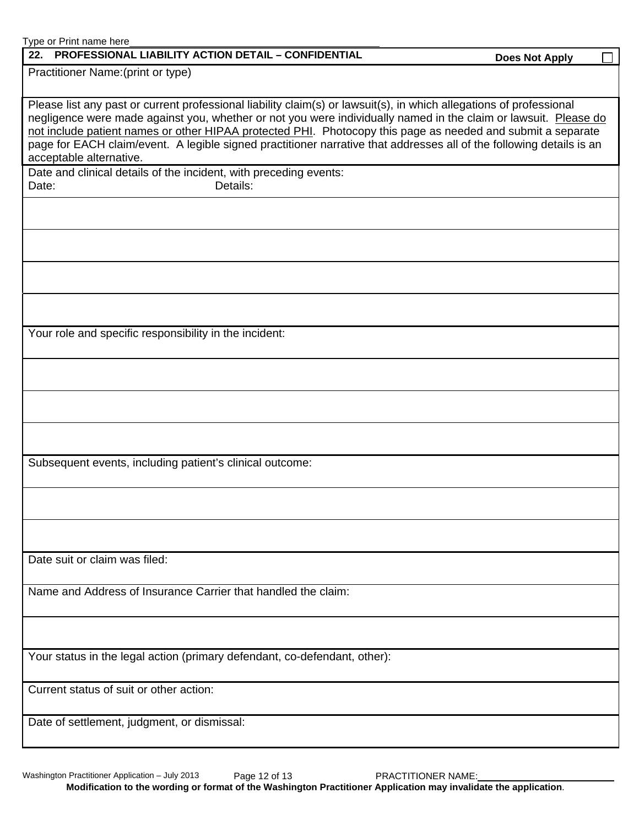| Type or Print name here<br>22. PROFESSIONAL LIABILITY ACTION DETAIL - CONFIDENTIAL                                                                                                                                                                                                                                                                                                                                                                                                                       | <b>Does Not Apply</b> |  |
|----------------------------------------------------------------------------------------------------------------------------------------------------------------------------------------------------------------------------------------------------------------------------------------------------------------------------------------------------------------------------------------------------------------------------------------------------------------------------------------------------------|-----------------------|--|
| Practitioner Name: (print or type)                                                                                                                                                                                                                                                                                                                                                                                                                                                                       |                       |  |
|                                                                                                                                                                                                                                                                                                                                                                                                                                                                                                          |                       |  |
| Please list any past or current professional liability claim(s) or lawsuit(s), in which allegations of professional<br>negligence were made against you, whether or not you were individually named in the claim or lawsuit. Please do<br>not include patient names or other HIPAA protected PHI. Photocopy this page as needed and submit a separate<br>page for EACH claim/event. A legible signed practitioner narrative that addresses all of the following details is an<br>acceptable alternative. |                       |  |
| Date and clinical details of the incident, with preceding events:                                                                                                                                                                                                                                                                                                                                                                                                                                        |                       |  |
| Details:<br>Date:                                                                                                                                                                                                                                                                                                                                                                                                                                                                                        |                       |  |
|                                                                                                                                                                                                                                                                                                                                                                                                                                                                                                          |                       |  |
|                                                                                                                                                                                                                                                                                                                                                                                                                                                                                                          |                       |  |
|                                                                                                                                                                                                                                                                                                                                                                                                                                                                                                          |                       |  |
|                                                                                                                                                                                                                                                                                                                                                                                                                                                                                                          |                       |  |
| Your role and specific responsibility in the incident:                                                                                                                                                                                                                                                                                                                                                                                                                                                   |                       |  |
|                                                                                                                                                                                                                                                                                                                                                                                                                                                                                                          |                       |  |
|                                                                                                                                                                                                                                                                                                                                                                                                                                                                                                          |                       |  |
|                                                                                                                                                                                                                                                                                                                                                                                                                                                                                                          |                       |  |
| Subsequent events, including patient's clinical outcome:                                                                                                                                                                                                                                                                                                                                                                                                                                                 |                       |  |
|                                                                                                                                                                                                                                                                                                                                                                                                                                                                                                          |                       |  |
|                                                                                                                                                                                                                                                                                                                                                                                                                                                                                                          |                       |  |
| Date suit or claim was filed:                                                                                                                                                                                                                                                                                                                                                                                                                                                                            |                       |  |
| Name and Address of Insurance Carrier that handled the claim:                                                                                                                                                                                                                                                                                                                                                                                                                                            |                       |  |
|                                                                                                                                                                                                                                                                                                                                                                                                                                                                                                          |                       |  |
| Your status in the legal action (primary defendant, co-defendant, other):                                                                                                                                                                                                                                                                                                                                                                                                                                |                       |  |
| Current status of suit or other action:                                                                                                                                                                                                                                                                                                                                                                                                                                                                  |                       |  |
| Date of settlement, judgment, or dismissal:                                                                                                                                                                                                                                                                                                                                                                                                                                                              |                       |  |